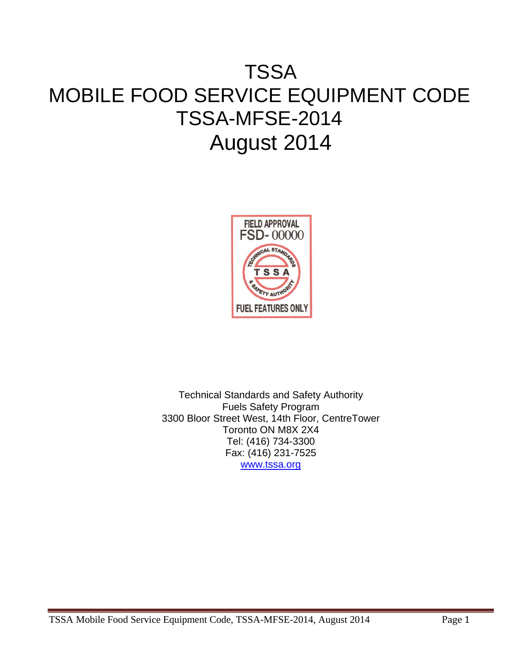# TSSA MOBILE FOOD SERVICE EQUIPMENT CODE TSSA-MFSE-2014 August 2014



Technical Standards and Safety Authority Fuels Safety Program 3300 Bloor Street West, 14th Floor, CentreTower Toronto ON M8X 2X4 Tel: (416) 734-3300 Fax: (416) 231-7525 www.tssa.org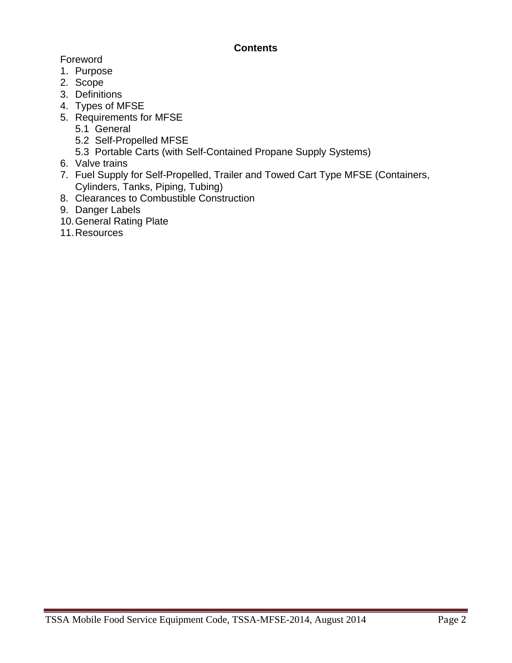## **Contents**

Foreword

- 1. Purpose
- 2. Scope
- 3. Definitions
- 4. Types of MFSE
- 5. Requirements for MFSE
	- 5.1 General
	- 5.2 Self-Propelled MFSE
	- 5.3 Portable Carts (with Self-Contained Propane Supply Systems)
- 6. Valve trains
- 7. Fuel Supply for Self-Propelled, Trailer and Towed Cart Type MFSE (Containers, Cylinders, Tanks, Piping, Tubing)
- 8. Clearances to Combustible Construction
- 9. Danger Labels
- 10. General Rating Plate
- 11. Resources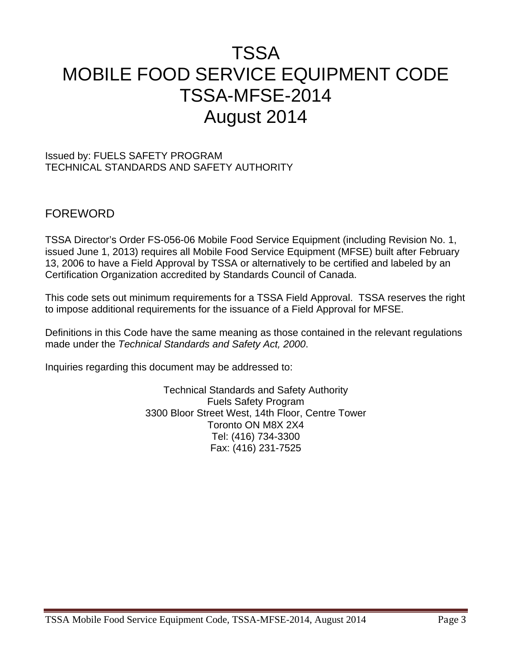## TSSA MOBILE FOOD SERVICE EQUIPMENT CODE TSSA-MFSE-2014 August 2014

#### Issued by: FUELS SAFETY PROGRAM TECHNICAL STANDARDS AND SAFETY AUTHORITY

## FOREWORD

TSSA Director's Order FS-056-06 Mobile Food Service Equipment (including Revision No. 1, issued June 1, 2013) requires all Mobile Food Service Equipment (MFSE) built after February 13, 2006 to have a Field Approval by TSSA or alternatively to be certified and labeled by an Certification Organization accredited by Standards Council of Canada.

This code sets out minimum requirements for a TSSA Field Approval. TSSA reserves the right to impose additional requirements for the issuance of a Field Approval for MFSE.

Definitions in this Code have the same meaning as those contained in the relevant regulations made under the *Technical Standards and Safety Act, 2000*.

Inquiries regarding this document may be addressed to:

Technical Standards and Safety Authority Fuels Safety Program 3300 Bloor Street West, 14th Floor, Centre Tower Toronto ON M8X 2X4 Tel: (416) 734-3300 Fax: (416) 231-7525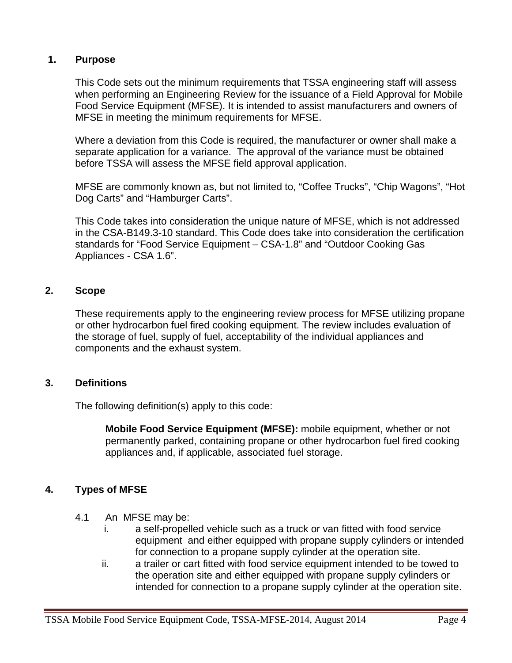## **1. Purpose**

This Code sets out the minimum requirements that TSSA engineering staff will assess when performing an Engineering Review for the issuance of a Field Approval for Mobile Food Service Equipment (MFSE). It is intended to assist manufacturers and owners of MFSE in meeting the minimum requirements for MFSE.

Where a deviation from this Code is required, the manufacturer or owner shall make a separate application for a variance. The approval of the variance must be obtained before TSSA will assess the MFSE field approval application.

MFSE are commonly known as, but not limited to, "Coffee Trucks", "Chip Wagons", "Hot Dog Carts" and "Hamburger Carts".

This Code takes into consideration the unique nature of MFSE, which is not addressed in the CSA-B149.3-10 standard. This Code does take into consideration the certification standards for "Food Service Equipment – CSA-1.8" and "Outdoor Cooking Gas Appliances - CSA 1.6".

## **2. Scope**

These requirements apply to the engineering review process for MFSE utilizing propane or other hydrocarbon fuel fired cooking equipment. The review includes evaluation of the storage of fuel, supply of fuel, acceptability of the individual appliances and components and the exhaust system.

#### **3. Definitions**

The following definition(s) apply to this code:

**Mobile Food Service Equipment (MFSE):** mobile equipment, whether or not permanently parked, containing propane or other hydrocarbon fuel fired cooking appliances and, if applicable, associated fuel storage.

## **4. Types of MFSE**

- 4.1 An MFSE may be:
	- i. a self-propelled vehicle such as a truck or van fitted with food service equipment and either equipped with propane supply cylinders or intended for connection to a propane supply cylinder at the operation site.
	- ii. a trailer or cart fitted with food service equipment intended to be towed to the operation site and either equipped with propane supply cylinders or intended for connection to a propane supply cylinder at the operation site.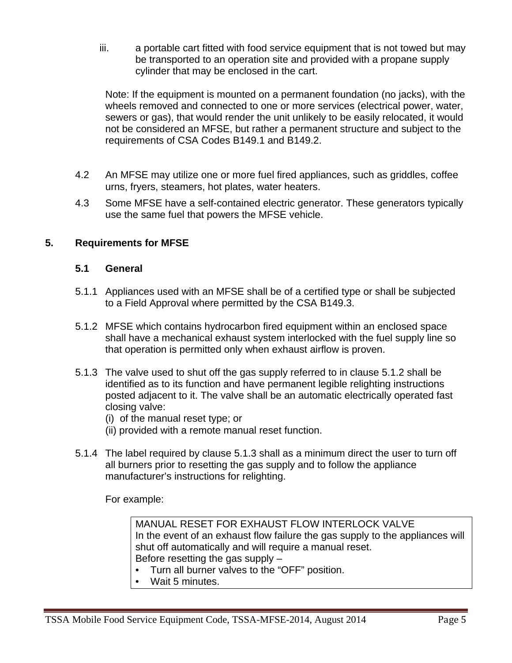iii. a portable cart fitted with food service equipment that is not towed but may be transported to an operation site and provided with a propane supply cylinder that may be enclosed in the cart.

Note: If the equipment is mounted on a permanent foundation (no jacks), with the wheels removed and connected to one or more services (electrical power, water, sewers or gas), that would render the unit unlikely to be easily relocated, it would not be considered an MFSE, but rather a permanent structure and subject to the requirements of CSA Codes B149.1 and B149.2.

- 4.2 An MFSE may utilize one or more fuel fired appliances, such as griddles, coffee urns, fryers, steamers, hot plates, water heaters.
- 4.3 Some MFSE have a self-contained electric generator. These generators typically use the same fuel that powers the MFSE vehicle.

## **5. Requirements for MFSE**

## **5.1 General**

- 5.1.1Appliances used with an MFSE shall be of a certified type or shall be subjected to a Field Approval where permitted by the CSA B149.3.
- 5.1.2 MFSE which contains hydrocarbon fired equipment within an enclosed space shall have a mechanical exhaust system interlocked with the fuel supply line so that operation is permitted only when exhaust airflow is proven.
- 5.1.3 The valve used to shut off the gas supply referred to in clause 5.1.2 shall be identified as to its function and have permanent legible relighting instructions posted adjacent to it. The valve shall be an automatic electrically operated fast closing valve:
	- (i) of the manual reset type; or
	- (ii) provided with a remote manual reset function.
- 5.1.4 The label required by clause 5.1.3 shall as a minimum direct the user to turn off all burners prior to resetting the gas supply and to follow the appliance manufacturer's instructions for relighting.

For example:

MANUAL RESET FOR EXHAUST FLOW INTERLOCK VALVE In the event of an exhaust flow failure the gas supply to the appliances will shut off automatically and will require a manual reset. Before resetting the gas supply –

- Turn all burner valves to the "OFF" position.
- Wait 5 minutes.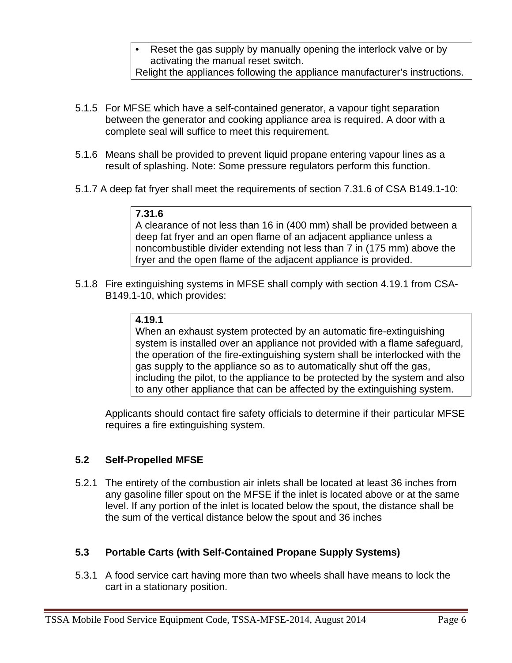- Reset the gas supply by manually opening the interlock valve or by activating the manual reset switch. Relight the appliances following the appliance manufacturer's instructions.
- 5.1.5 For MFSE which have a self-contained generator, a vapour tight separation between the generator and cooking appliance area is required. A door with a complete seal will suffice to meet this requirement.
- 5.1.6 Means shall be provided to prevent liquid propane entering vapour lines as a result of splashing. Note: Some pressure regulators perform this function.
- 5.1.7 A deep fat fryer shall meet the requirements of section 7.31.6 of CSA B149.1-10:

## **7.31.6**

A clearance of not less than 16 in (400 mm) shall be provided between a deep fat fryer and an open flame of an adjacent appliance unless a noncombustible divider extending not less than 7 in (175 mm) above the fryer and the open flame of the adjacent appliance is provided.

5.1.8 Fire extinguishing systems in MFSE shall comply with section 4.19.1 from CSA-B149.1-10, which provides:

## **4.19.1**

When an exhaust system protected by an automatic fire-extinguishing system is installed over an appliance not provided with a flame safeguard, the operation of the fire-extinguishing system shall be interlocked with the gas supply to the appliance so as to automatically shut off the gas, including the pilot, to the appliance to be protected by the system and also to any other appliance that can be affected by the extinguishing system.

Applicants should contact fire safety officials to determine if their particular MFSE requires a fire extinguishing system.

## **5.2 Self-Propelled MFSE**

5.2.1 The entirety of the combustion air inlets shall be located at least 36 inches from any gasoline filler spout on the MFSE if the inlet is located above or at the same level. If any portion of the inlet is located below the spout, the distance shall be the sum of the vertical distance below the spout and 36 inches

## **5.3 Portable Carts (with Self-Contained Propane Supply Systems)**

5.3.1 A food service cart having more than two wheels shall have means to lock the cart in a stationary position.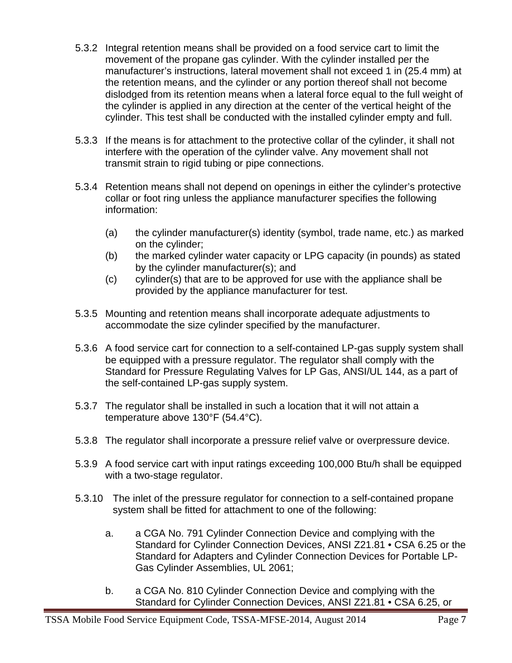- 5.3.2 Integral retention means shall be provided on a food service cart to limit the movement of the propane gas cylinder. With the cylinder installed per the manufacturer's instructions, lateral movement shall not exceed 1 in (25.4 mm) at the retention means, and the cylinder or any portion thereof shall not become dislodged from its retention means when a lateral force equal to the full weight of the cylinder is applied in any direction at the center of the vertical height of the cylinder. This test shall be conducted with the installed cylinder empty and full.
- 5.3.3 If the means is for attachment to the protective collar of the cylinder, it shall not interfere with the operation of the cylinder valve. Any movement shall not transmit strain to rigid tubing or pipe connections.
- 5.3.4 Retention means shall not depend on openings in either the cylinder's protective collar or foot ring unless the appliance manufacturer specifies the following information:
	- (a) the cylinder manufacturer(s) identity (symbol, trade name, etc.) as marked on the cylinder;
	- (b) the marked cylinder water capacity or LPG capacity (in pounds) as stated by the cylinder manufacturer(s); and
	- (c) cylinder(s) that are to be approved for use with the appliance shall be provided by the appliance manufacturer for test.
- 5.3.5 Mounting and retention means shall incorporate adequate adjustments to accommodate the size cylinder specified by the manufacturer.
- 5.3.6 A food service cart for connection to a self-contained LP-gas supply system shall be equipped with a pressure regulator. The regulator shall comply with the Standard for Pressure Regulating Valves for LP Gas, ANSI/UL 144, as a part of the self-contained LP-gas supply system.
- 5.3.7 The regulator shall be installed in such a location that it will not attain a temperature above 130°F (54.4°C).
- 5.3.8 The regulator shall incorporate a pressure relief valve or overpressure device.
- 5.3.9 A food service cart with input ratings exceeding 100,000 Btu/h shall be equipped with a two-stage regulator.
- 5.3.10 The inlet of the pressure regulator for connection to a self-contained propane system shall be fitted for attachment to one of the following:
	- a. a CGA No. 791 Cylinder Connection Device and complying with the Standard for Cylinder Connection Devices, ANSI Z21.81 • CSA 6.25 or the Standard for Adapters and Cylinder Connection Devices for Portable LP-Gas Cylinder Assemblies, UL 2061;
	- b. a CGA No. 810 Cylinder Connection Device and complying with the Standard for Cylinder Connection Devices, ANSI Z21.81 • CSA 6.25, or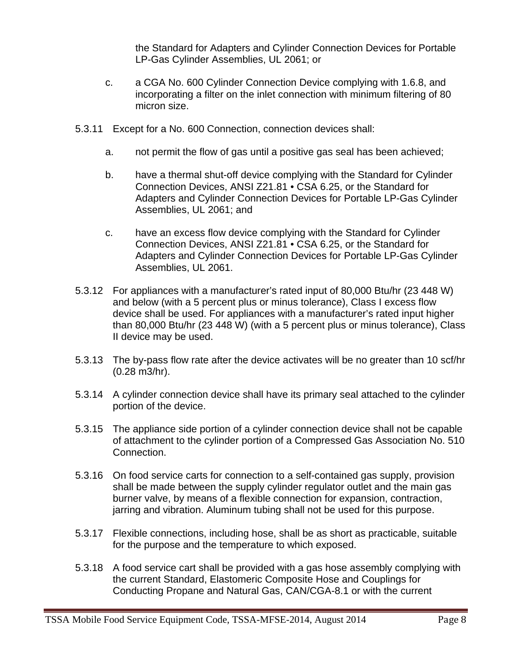the Standard for Adapters and Cylinder Connection Devices for Portable LP-Gas Cylinder Assemblies, UL 2061; or

- c. a CGA No. 600 Cylinder Connection Device complying with 1.6.8, and incorporating a filter on the inlet connection with minimum filtering of 80 micron size.
- 5.3.11 Except for a No. 600 Connection, connection devices shall:
	- a. not permit the flow of gas until a positive gas seal has been achieved;
	- b. have a thermal shut-off device complying with the Standard for Cylinder Connection Devices, ANSI Z21.81 • CSA 6.25, or the Standard for Adapters and Cylinder Connection Devices for Portable LP-Gas Cylinder Assemblies, UL 2061; and
	- c. have an excess flow device complying with the Standard for Cylinder Connection Devices, ANSI Z21.81 • CSA 6.25, or the Standard for Adapters and Cylinder Connection Devices for Portable LP-Gas Cylinder Assemblies, UL 2061.
- 5.3.12 For appliances with a manufacturer's rated input of 80,000 Btu/hr (23 448 W) and below (with a 5 percent plus or minus tolerance), Class I excess flow device shall be used. For appliances with a manufacturer's rated input higher than 80,000 Btu/hr (23 448 W) (with a 5 percent plus or minus tolerance), Class II device may be used.
- 5.3.13 The by-pass flow rate after the device activates will be no greater than 10 scf/hr (0.28 m3/hr).
- 5.3.14 A cylinder connection device shall have its primary seal attached to the cylinder portion of the device.
- 5.3.15 The appliance side portion of a cylinder connection device shall not be capable of attachment to the cylinder portion of a Compressed Gas Association No. 510 Connection.
- 5.3.16 On food service carts for connection to a self-contained gas supply, provision shall be made between the supply cylinder regulator outlet and the main gas burner valve, by means of a flexible connection for expansion, contraction, jarring and vibration. Aluminum tubing shall not be used for this purpose.
- 5.3.17 Flexible connections, including hose, shall be as short as practicable, suitable for the purpose and the temperature to which exposed.
- 5.3.18 A food service cart shall be provided with a gas hose assembly complying with the current Standard, Elastomeric Composite Hose and Couplings for Conducting Propane and Natural Gas, CAN/CGA-8.1 or with the current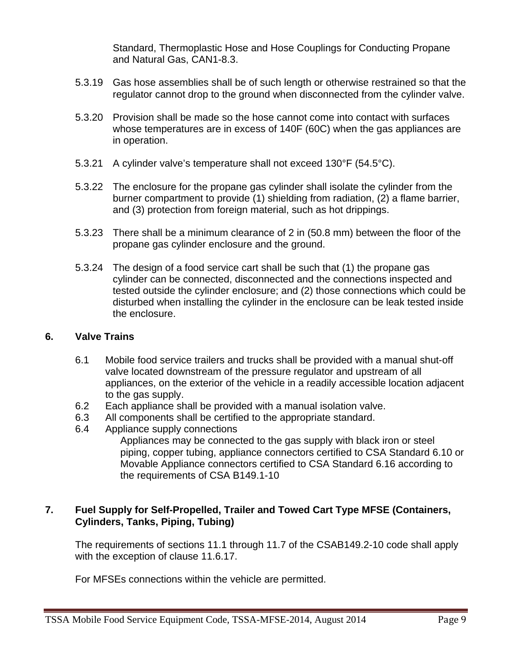Standard, Thermoplastic Hose and Hose Couplings for Conducting Propane and Natural Gas, CAN1-8.3.

- 5.3.19 Gas hose assemblies shall be of such length or otherwise restrained so that the regulator cannot drop to the ground when disconnected from the cylinder valve.
- 5.3.20 Provision shall be made so the hose cannot come into contact with surfaces whose temperatures are in excess of 140F (60C) when the gas appliances are in operation.
- 5.3.21 A cylinder valve's temperature shall not exceed 130°F (54.5°C).
- 5.3.22 The enclosure for the propane gas cylinder shall isolate the cylinder from the burner compartment to provide (1) shielding from radiation, (2) a flame barrier, and (3) protection from foreign material, such as hot drippings.
- 5.3.23 There shall be a minimum clearance of 2 in (50.8 mm) between the floor of the propane gas cylinder enclosure and the ground.
- 5.3.24 The design of a food service cart shall be such that (1) the propane gas cylinder can be connected, disconnected and the connections inspected and tested outside the cylinder enclosure; and (2) those connections which could be disturbed when installing the cylinder in the enclosure can be leak tested inside the enclosure.

#### **6. Valve Trains**

- 6.1 Mobile food service trailers and trucks shall be provided with a manual shut-off valve located downstream of the pressure regulator and upstream of all appliances, on the exterior of the vehicle in a readily accessible location adjacent to the gas supply.
- 6.2 Each appliance shall be provided with a manual isolation valve.
- 6.3 All components shall be certified to the appropriate standard.
- 6.4 Appliance supply connections
	- Appliances may be connected to the gas supply with black iron or steel piping, copper tubing, appliance connectors certified to CSA Standard 6.10 or Movable Appliance connectors certified to CSA Standard 6.16 according to the requirements of CSA B149.1-10

## **7. Fuel Supply for Self-Propelled, Trailer and Towed Cart Type MFSE (Containers, Cylinders, Tanks, Piping, Tubing)**

The requirements of sections 11.1 through 11.7 of the CSAB149.2-10 code shall apply with the exception of clause 11.6.17.

For MFSEs connections within the vehicle are permitted.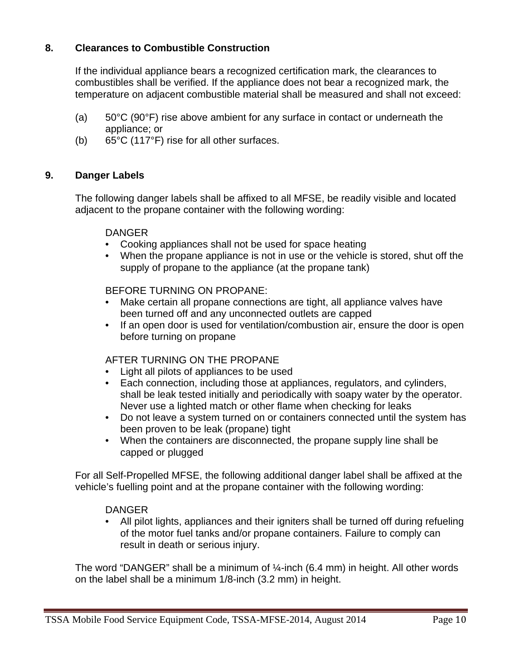## **8. Clearances to Combustible Construction**

If the individual appliance bears a recognized certification mark, the clearances to combustibles shall be verified. If the appliance does not bear a recognized mark, the temperature on adjacent combustible material shall be measured and shall not exceed:

- (a) 50°C (90°F) rise above ambient for any surface in contact or underneath the appliance; or
- (b) 65°C (117°F) rise for all other surfaces.

## **9. Danger Labels**

The following danger labels shall be affixed to all MFSE, be readily visible and located adjacent to the propane container with the following wording:

#### **DANGER**

- Cooking appliances shall not be used for space heating
- When the propane appliance is not in use or the vehicle is stored, shut off the supply of propane to the appliance (at the propane tank)

#### BEFORE TURNING ON PROPANE:

- Make certain all propane connections are tight, all appliance valves have been turned off and any unconnected outlets are capped
- If an open door is used for ventilation/combustion air, ensure the door is open before turning on propane

## AFTER TURNING ON THE PROPANE

- Light all pilots of appliances to be used
- Each connection, including those at appliances, regulators, and cylinders, shall be leak tested initially and periodically with soapy water by the operator. Never use a lighted match or other flame when checking for leaks
- Do not leave a system turned on or containers connected until the system has been proven to be leak (propane) tight
- When the containers are disconnected, the propane supply line shall be capped or plugged

 For all Self-Propelled MFSE, the following additional danger label shall be affixed at the vehicle's fuelling point and at the propane container with the following wording:

#### DANGER

• All pilot lights, appliances and their igniters shall be turned off during refueling of the motor fuel tanks and/or propane containers. Failure to comply can result in death or serious injury.

The word "DANGER" shall be a minimum of  $\frac{1}{4}$ -inch (6.4 mm) in height. All other words on the label shall be a minimum 1/8-inch (3.2 mm) in height.